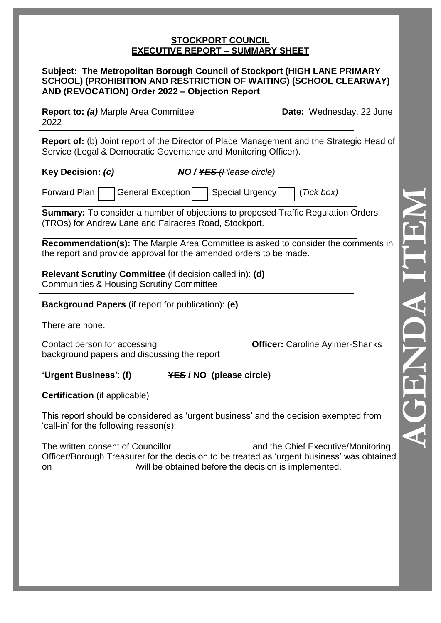### **STOCKPORT COUNCIL EXECUTIVE REPORT – SUMMARY SHEET**

#### **Subject: The Metropolitan Borough Council of Stockport (HIGH LANE PRIMARY SCHOOL) (PROHIBITION AND RESTRICTION OF WAITING) (SCHOOL CLEARWAY) AND (REVOCATION) Order 2022 – Objection Report**

**Report to:** *(a)* Marple Area Committee **Date:** Wednesday, 22 June 2022

**Report of:** (b) Joint report of the Director of Place Management and the Strategic Head of Service (Legal & Democratic Governance and Monitoring Officer).

**Key Decision:** *(c) NO / YES (Please circle)*

Forward Plan General Exception Special Urgency (*Tick box*)

**Summary:** To consider a number of objections to proposed Traffic Regulation Orders (TROs) for Andrew Lane and Fairacres Road, Stockport.

**Recommendation(s):** The Marple Area Committee is asked to consider the comments in the report and provide approval for the amended orders to be made.

**Relevant Scrutiny Committee** (if decision called in): **(d)** Communities & Housing Scrutiny Committee

**Background Papers** (if report for publication): **(e)**

There are none.

Contact person for accessing **Officer:** Caroline Aylmer-Shanks background papers and discussing the report

**'Urgent Business'**: **(f) YES / NO (please circle)**

**Certification** (if applicable)

This report should be considered as 'urgent business' and the decision exempted from 'call-in' for the following reason(s):

The written consent of Councillor and the Chief Executive/Monitoring Officer/Borough Treasurer for the decision to be treated as 'urgent business' was obtained on /will be obtained before the decision is implemented.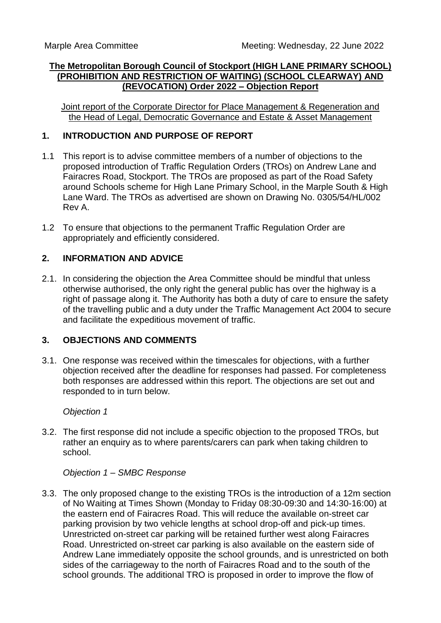### **The Metropolitan Borough Council of Stockport (HIGH LANE PRIMARY SCHOOL) (PROHIBITION AND RESTRICTION OF WAITING) (SCHOOL CLEARWAY) AND (REVOCATION) Order 2022 – Objection Report**

Joint report of the Corporate Director for Place Management & Regeneration and the Head of Legal, Democratic Governance and Estate & Asset Management

## **1. INTRODUCTION AND PURPOSE OF REPORT**

- 1.1 This report is to advise committee members of a number of objections to the proposed introduction of Traffic Regulation Orders (TROs) on Andrew Lane and Fairacres Road, Stockport. The TROs are proposed as part of the Road Safety around Schools scheme for High Lane Primary School, in the Marple South & High Lane Ward. The TROs as advertised are shown on Drawing No. 0305/54/HL/002 Rev A.
- 1.2 To ensure that objections to the permanent Traffic Regulation Order are appropriately and efficiently considered.

### **2. INFORMATION AND ADVICE**

2.1. In considering the objection the Area Committee should be mindful that unless otherwise authorised, the only right the general public has over the highway is a right of passage along it. The Authority has both a duty of care to ensure the safety of the travelling public and a duty under the Traffic Management Act 2004 to secure and facilitate the expeditious movement of traffic.

### **3. OBJECTIONS AND COMMENTS**

3.1. One response was received within the timescales for objections, with a further objection received after the deadline for responses had passed. For completeness both responses are addressed within this report. The objections are set out and responded to in turn below.

### *Objection 1*

3.2. The first response did not include a specific objection to the proposed TROs, but rather an enquiry as to where parents/carers can park when taking children to school.

### *Objection 1 – SMBC Response*

3.3. The only proposed change to the existing TROs is the introduction of a 12m section of No Waiting at Times Shown (Monday to Friday 08:30-09:30 and 14:30-16:00) at the eastern end of Fairacres Road. This will reduce the available on-street car parking provision by two vehicle lengths at school drop-off and pick-up times. Unrestricted on-street car parking will be retained further west along Fairacres Road. Unrestricted on-street car parking is also available on the eastern side of Andrew Lane immediately opposite the school grounds, and is unrestricted on both sides of the carriageway to the north of Fairacres Road and to the south of the school grounds. The additional TRO is proposed in order to improve the flow of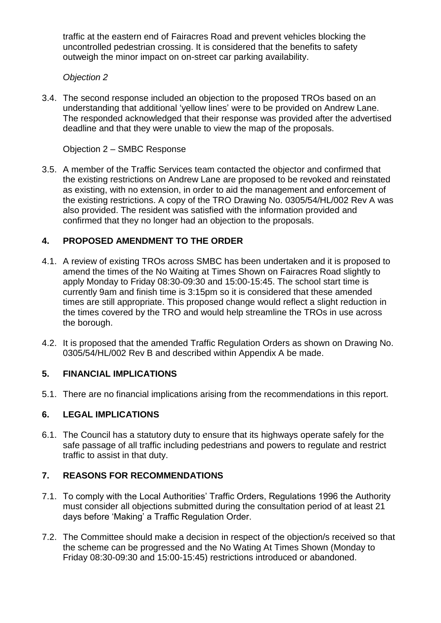traffic at the eastern end of Fairacres Road and prevent vehicles blocking the uncontrolled pedestrian crossing. It is considered that the benefits to safety outweigh the minor impact on on-street car parking availability.

*Objection 2*

3.4. The second response included an objection to the proposed TROs based on an understanding that additional 'yellow lines' were to be provided on Andrew Lane. The responded acknowledged that their response was provided after the advertised deadline and that they were unable to view the map of the proposals.

Objection 2 – SMBC Response

3.5. A member of the Traffic Services team contacted the objector and confirmed that the existing restrictions on Andrew Lane are proposed to be revoked and reinstated as existing, with no extension, in order to aid the management and enforcement of the existing restrictions. A copy of the TRO Drawing No. 0305/54/HL/002 Rev A was also provided. The resident was satisfied with the information provided and confirmed that they no longer had an objection to the proposals.

# **4. PROPOSED AMENDMENT TO THE ORDER**

- 4.1. A review of existing TROs across SMBC has been undertaken and it is proposed to amend the times of the No Waiting at Times Shown on Fairacres Road slightly to apply Monday to Friday 08:30-09:30 and 15:00-15:45. The school start time is currently 9am and finish time is 3:15pm so it is considered that these amended times are still appropriate. This proposed change would reflect a slight reduction in the times covered by the TRO and would help streamline the TROs in use across the borough.
- 4.2. It is proposed that the amended Traffic Regulation Orders as shown on Drawing No. 0305/54/HL/002 Rev B and described within Appendix A be made.

## **5. FINANCIAL IMPLICATIONS**

5.1. There are no financial implications arising from the recommendations in this report.

## **6. LEGAL IMPLICATIONS**

6.1. The Council has a statutory duty to ensure that its highways operate safely for the safe passage of all traffic including pedestrians and powers to regulate and restrict traffic to assist in that duty.

## **7. REASONS FOR RECOMMENDATIONS**

- 7.1. To comply with the Local Authorities' Traffic Orders, Regulations 1996 the Authority must consider all objections submitted during the consultation period of at least 21 days before 'Making' a Traffic Regulation Order.
- 7.2. The Committee should make a decision in respect of the objection/s received so that the scheme can be progressed and the No Wating At Times Shown (Monday to Friday 08:30-09:30 and 15:00-15:45) restrictions introduced or abandoned.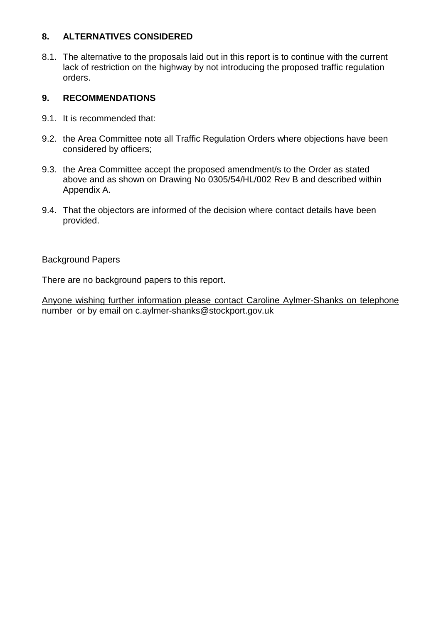## **8. ALTERNATIVES CONSIDERED**

8.1. The alternative to the proposals laid out in this report is to continue with the current lack of restriction on the highway by not introducing the proposed traffic regulation orders.

# **9. RECOMMENDATIONS**

- 9.1. It is recommended that:
- 9.2. the Area Committee note all Traffic Regulation Orders where objections have been considered by officers;
- 9.3. the Area Committee accept the proposed amendment/s to the Order as stated above and as shown on Drawing No 0305/54/HL/002 Rev B and described within Appendix A.
- 9.4. That the objectors are informed of the decision where contact details have been provided.

### Background Papers

There are no background papers to this report.

Anyone wishing further information please contact Caroline Aylmer-Shanks on telephone number or by email on c.aylmer-shanks@stockport.gov.uk